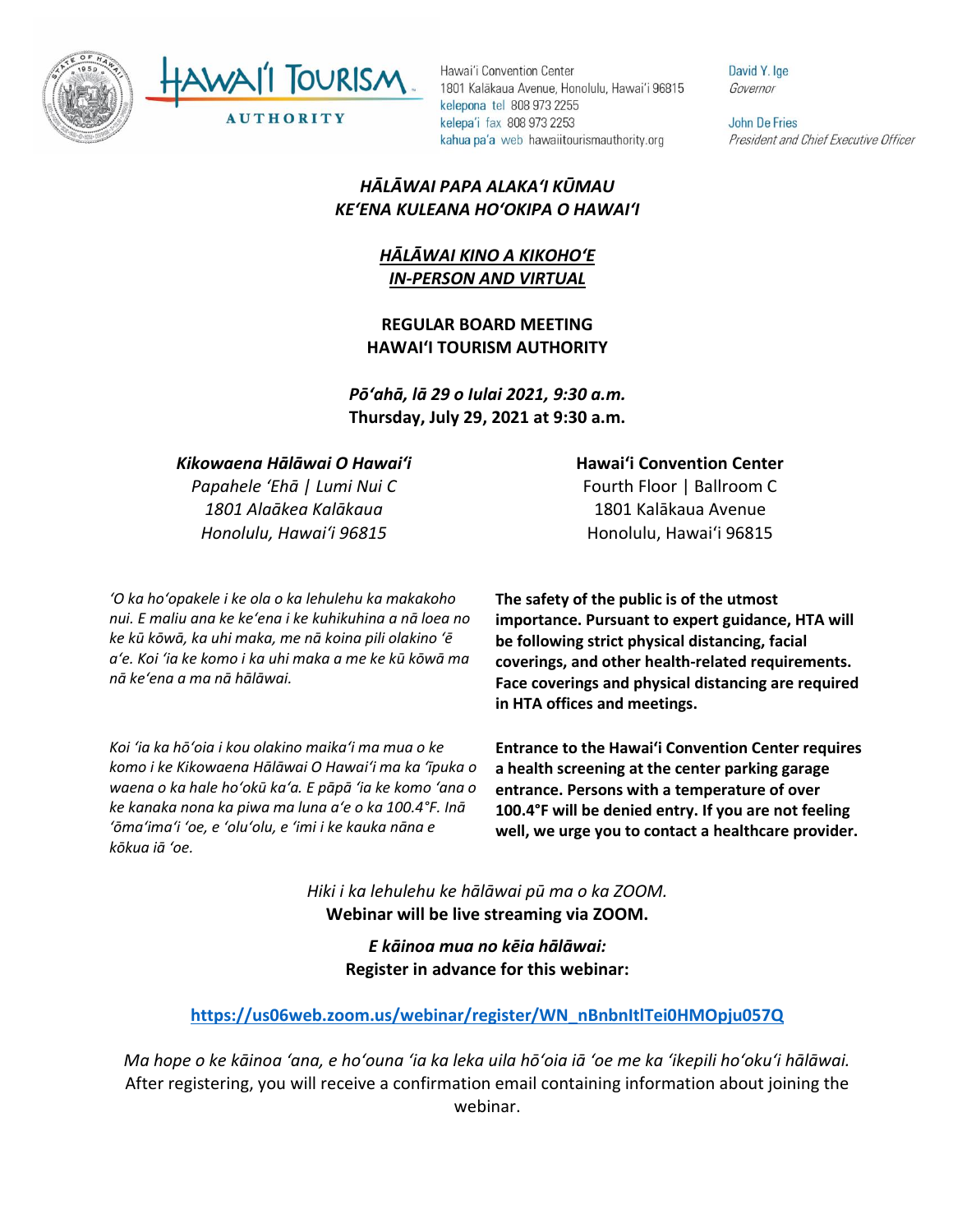



UTHORITY

Hawai'i Convention Center 1801 Kalākaua Avenue, Honolulu, Hawai'i 96815 kelepona tel 808 973 2255 kelepa'i fax 808 973 2253 kahua pa'a web hawaiitourismauthority.org

# *HĀLĀWAI PAPA ALAKAʻI KŪMAU KEʻENA KULEANA HOʻOKIPA O HAWAIʻI*

## *HĀLĀWAI KINO A KIKOHOʻE IN-PERSON AND VIRTUAL*

**REGULAR BOARD MEETING HAWAI'I TOURISM AUTHORITY**

*Pōʻahā, lā 29 o Iulai 2021, 9:30 a.m.* **Thursday, July 29, 2021 at 9:30 a.m.**

#### *Kikowaena Hālāwai O Hawaiʻi*

*Papahele ʻEhā | Lumi Nui C 1801 Alaākea Kalākaua Honolulu, Hawaiʻi 96815*

*ʻO ka hoʻopakele i ke ola o ka lehulehu ka makakoho nui. E maliu ana ke keʻena i ke kuhikuhina a nā loea no ke kū kōwā, ka uhi maka, me nā koina pili olakino ʻē aʻe. Koi ʻia ke komo i ka uhi maka a me ke kū kōwā ma nā keʻena a ma nā hālāwai.*

*Koi ʻia ka hōʻoia i kou olakino maikaʻi ma mua o ke komo i ke Kikowaena Hālāwai O Hawaiʻi ma ka ʻīpuka o waena o ka hale hoʻokū kaʻa. E pāpā ʻia ke komo ʻana o ke kanaka nona ka piwa ma luna aʻe o ka 100.4°F. Inā ʻōmaʻimaʻi ʻoe, e ʻoluʻolu, e ʻimi i ke kauka nāna e kōkua iā ʻoe.* 

**Hawaiʻi Convention Center**

Fourth Floor | Ballroom C 1801 Kalākaua Avenue Honolulu, Hawaiʻi 96815

**The safety of the public is of the utmost importance. Pursuant to expert guidance, HTA will be following strict physical distancing, facial coverings, and other health-related requirements. Face coverings and physical distancing are required in HTA offices and meetings.** 

**Entrance to the Hawaiʻi Convention Center requires a health screening at the center parking garage entrance. Persons with a temperature of over 100.4°F will be denied entry. If you are not feeling well, we urge you to contact a healthcare provider.**

*Hiki i ka lehulehu ke hālāwai pū ma o ka ZOOM.* **Webinar will be live streaming via ZOOM.**

> *E kāinoa mua no kēia hālāwai:* **Register in advance for this webinar:**

#### **[https://us06web.zoom.us/webinar/register/WN\\_nBnbnItlTei0HMOpju057Q](https://us06web.zoom.us/webinar/register/WN_nBnbnItlTei0HMOpju057Q)**

*Ma hope o ke kāinoa ʻana, e hoʻouna ʻia ka leka uila hōʻoia iā ʻoe me ka ʻikepili hoʻokuʻi hālāwai.* After registering, you will receive a confirmation email containing information about joining the webinar.

David Y. Ige Governor

**John De Fries** President and Chief Executive Officer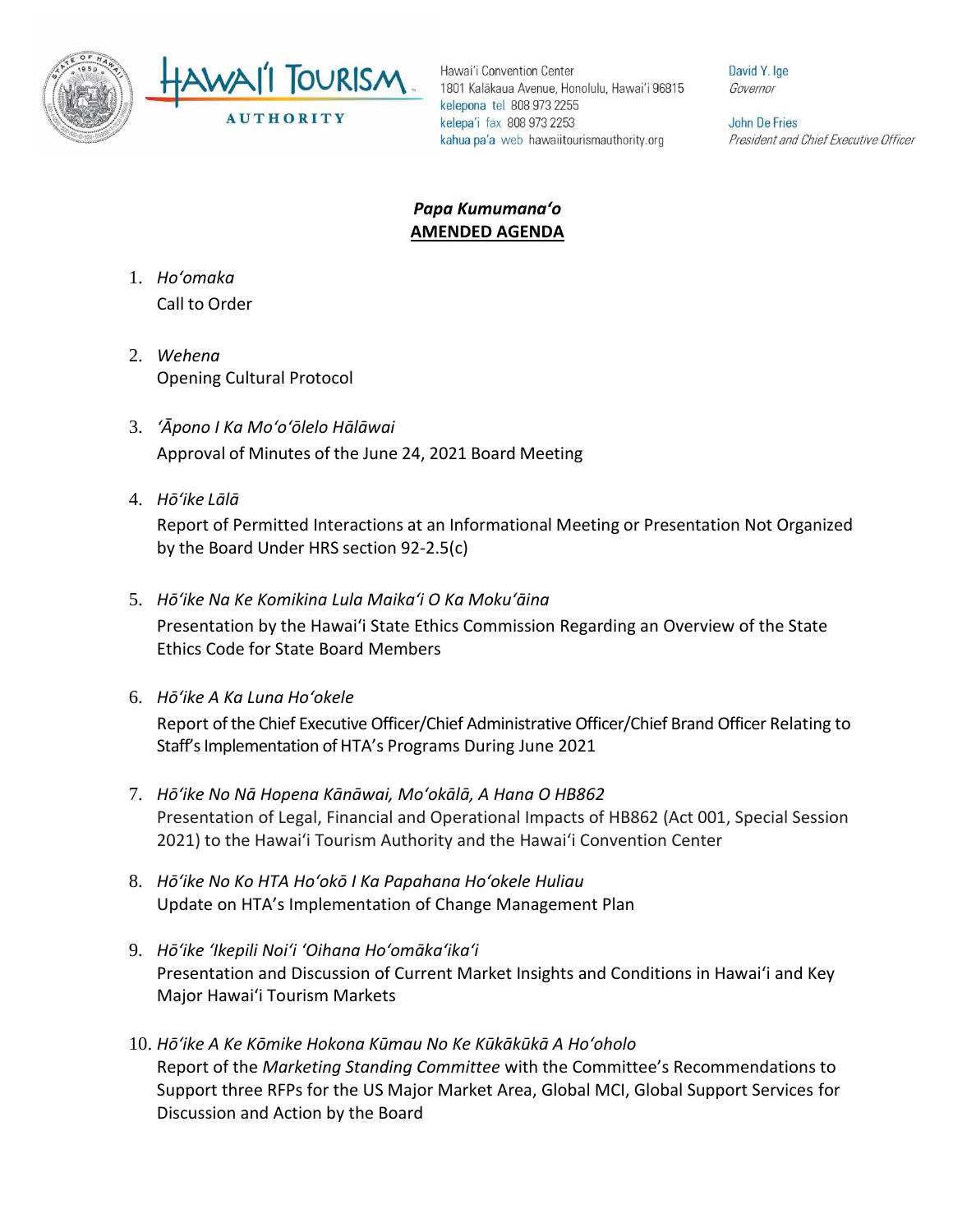



Hawai'i Convention Center 1801 Kalākaua Avenue, Honolulu, Hawai'i 96815 kelepona tel 808 973 2255 kelepa'i fax 808 973 2253 kahua pa'a web hawaiitourismauthority.org

David Y. Ige Governor

**John De Fries** President and Chief Executive Officer

### *Papa Kumumanaʻo* **AMENDED AGENDA**

- 1. *Ho'omaka* Call to Order
- 2. *Wehena* Opening Cultural Protocol
- 3. *ʻĀpono I Ka Moʻoʻōlelo Hālāwai* Approval of Minutes of the June 24, 2021 Board Meeting
- 4. *Hō'ike Lālā*

Report of Permitted Interactions at an Informational Meeting or Presentation Not Organized by the Board Under HRS section 92-2.5(c)

5. *Hōʻike Na Ke Komikina Lula Maikaʻi O Ka Mokuʻāina*

Presentation by the Hawai'i State Ethics Commission Regarding an Overview of the State Ethics Code for State Board Members

6. *Hōʻike A Ka Luna Hoʻokele*

Report of the Chief Executive Officer/Chief Administrative Officer/Chief Brand Officer Relating to Staff's Implementation of HTA's Programs During June 2021

- 7. *Hōʻike No Nā Hopena Kānāwai, Moʻokālā, A Hana O HB862* Presentation of Legal, Financial and Operational Impacts of HB862 (Act 001, Special Session 2021) to the Hawaiʻi Tourism Authority and the Hawaiʻi Convention Center
- 8. *Hōʻike No Ko HTA Hoʻokō I Ka Papahana Hoʻokele Huliau* Update on HTA's Implementation of Change Management Plan
- 9. *Hōʻike ʻIkepili Noiʻi ʻOihana Hoʻomākaʻikaʻi* Presentation and Discussion of Current Market Insights and Conditions in Hawai'i and Key Major Hawai'i Tourism Markets
- 10. *Hōʻike A Ke Kōmike Hokona Kūmau No Ke Kūkākūkā A Hoʻoholo* Report of the *Marketing Standing Committee* with the Committee's Recommendations to Support three RFPs for the US Major Market Area, Global MCI, Global Support Services for Discussion and Action by the Board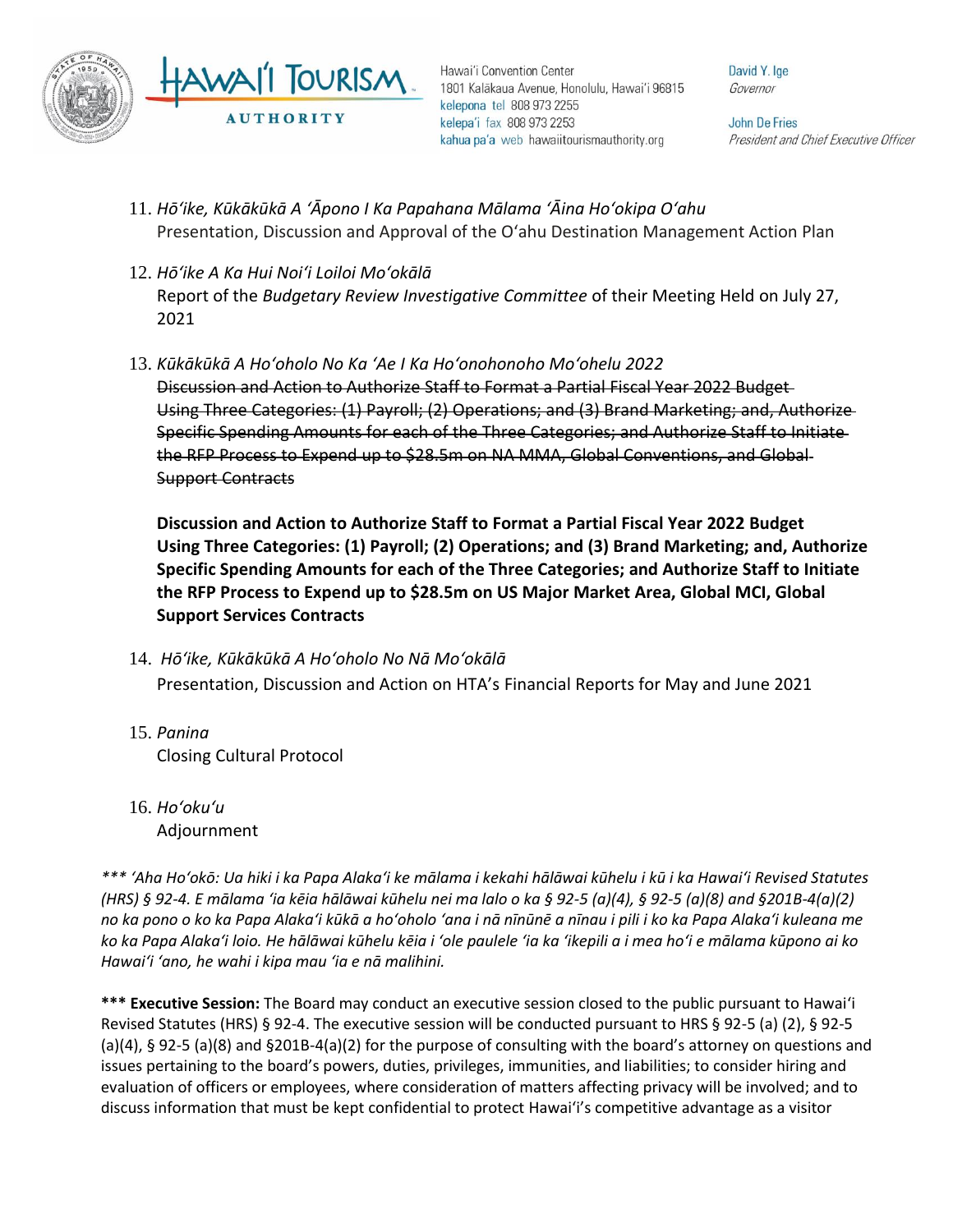

Hawai'i Convention Center 1801 Kalākaua Avenue, Honolulu, Hawai'i 96815 kelepona tel 808 973 2255 kelepa'i fax 808 973 2253 kahua pa'a web hawaiitourismauthority.org

David Y. Ige Governor

**John De Fries** President and Chief Executive Officer

- 11. *Hōʻike, Kūkākūkā A ʻĀpono I Ka Papahana Mālama ʻĀina Hoʻokipa Oʻahu* Presentation, Discussion and Approval of the O'ahu Destination Management Action Plan
- 12. *Hōʻike A Ka Hui Noiʻi Loiloi Moʻokālā*  Report of the *Budgetary Review Investigative Committee* of their Meeting Held on July 27, 2021
- 13. *Kūkākūkā A Hoʻoholo No Ka ʻAe I Ka Hoʻonohonoho Moʻohelu 2022* Discussion and Action to Authorize Staff to Format a Partial Fiscal Year 2022 Budget Using Three Categories: (1) Payroll; (2) Operations; and (3) Brand Marketing; and, Authorize Specific Spending Amounts for each of the Three Categories; and Authorize Staff to Initiate the RFP Process to Expend up to \$28.5m on NA MMA, Global Conventions, and Global Support Contracts

**Discussion and Action to Authorize Staff to Format a Partial Fiscal Year 2022 Budget Using Three Categories: (1) Payroll; (2) Operations; and (3) Brand Marketing; and, Authorize Specific Spending Amounts for each of the Three Categories; and Authorize Staff to Initiate the RFP Process to Expend up to \$28.5m on US Major Market Area, Global MCI, Global Support Services Contracts**

- 14. *Hōʻike, Kūkākūkā A Hoʻoholo No Nā Moʻokālā*  Presentation, Discussion and Action on HTA's Financial Reports for May and June 2021
- 15. *Panina* Closing Cultural Protocol
- 16. *Ho'oku'u* Adjournment

*\*\*\* ʻAha Hoʻokō: Ua hiki i ka Papa Alakaʻi ke mālama i kekahi hālāwai kūhelu i kū i ka Hawaiʻi Revised Statutes (HRS) § 92-4. E mālama ʻia kēia hālāwai kūhelu nei ma lalo o ka § 92-5 (a)(4), § 92-5 (a)(8) and §201B-4(a)(2) no ka pono o ko ka Papa Alakaʻi kūkā a hoʻoholo ʻana i nā nīnūnē a nīnau i pili i ko ka Papa Alakaʻi kuleana me ko ka Papa Alakaʻi loio. He hālāwai kūhelu kēia i ʻole paulele ʻia ka ʻikepili a i mea hoʻi e mālama kūpono ai ko Hawaiʻi ʻano, he wahi i kipa mau ʻia e nā malihini.*

**\*\*\* Executive Session:** The Board may conduct an executive session closed to the public pursuant to Hawai'i Revised Statutes (HRS) § 92-4. The executive session will be conducted pursuant to HRS § 92-5 (a) (2), § 92-5 (a)(4), § 92-5 (a)(8) and §201B-4(a)(2) for the purpose of consulting with the board's attorney on questions and issues pertaining to the board's powers, duties, privileges, immunities, and liabilities; to consider hiring and evaluation of officers or employees, where consideration of matters affecting privacy will be involved; and to discuss information that must be kept confidential to protect Hawai'i's competitive advantage as a visitor